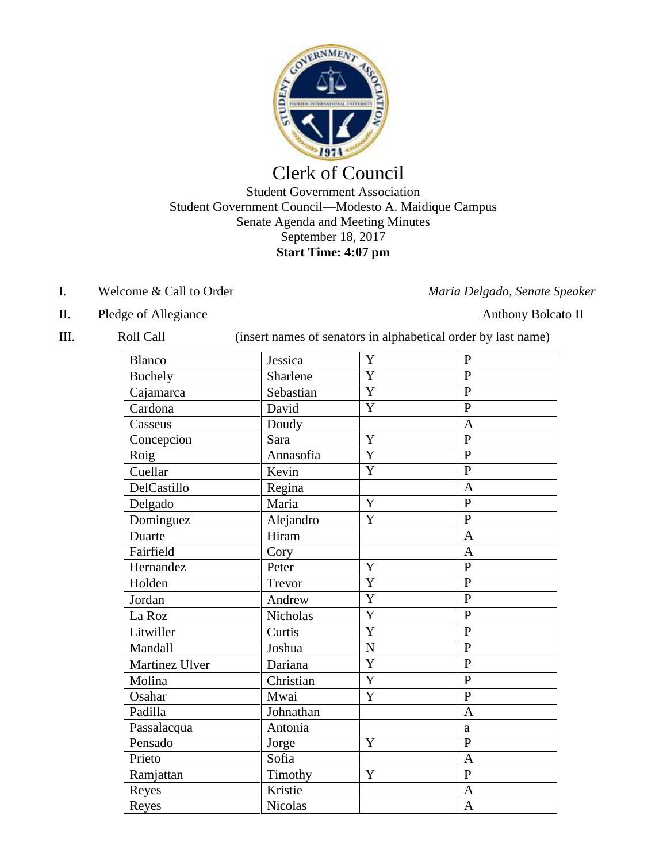

# Clerk of Council Student Government Association Student Government Council—Modesto A. Maidique Campus Senate Agenda and Meeting Minutes September 18, 2017 **Start Time: 4:07 pm**

### I. Welcome & Call to Order *Maria Delgado, Senate Speaker*

- II. Pledge of Allegiance Anthony Bolcato II
- 

III. Roll Call (insert names of senators in alphabetical order by last name)

| Blanco         | Jessica         | Y              | $\mathbf{P}$   |
|----------------|-----------------|----------------|----------------|
| <b>Buchely</b> | Sharlene        | $\mathbf Y$    | $\mathbf{P}$   |
| Cajamarca      | Sebastian       | $\mathbf Y$    | $\overline{P}$ |
| Cardona        | David           | $\mathbf Y$    | $\overline{P}$ |
| Casseus        | Doudy           |                | $\overline{A}$ |
| Concepcion     | Sara            | Y              | $\overline{P}$ |
| Roig           | Annasofia       | $\overline{Y}$ | $\overline{P}$ |
| Cuellar        | Kevin           | Y              | $\overline{P}$ |
| DelCastillo    | Regina          |                | $\overline{A}$ |
| Delgado        | Maria           | $\mathbf Y$    | $\overline{P}$ |
| Dominguez      | Alejandro       | $\mathbf Y$    | $\overline{P}$ |
| Duarte         | Hiram           |                | $\overline{A}$ |
| Fairfield      | Cory            |                | $\overline{A}$ |
| Hernandez      | Peter           | Y              | $\overline{P}$ |
| Holden         | Trevor          | Y              | $\overline{P}$ |
| Jordan         | Andrew          | $\overline{Y}$ | $\overline{P}$ |
| La Roz         | <b>Nicholas</b> | $\overline{Y}$ | $\overline{P}$ |
| Litwiller      | Curtis          | $\mathbf Y$    | $\overline{P}$ |
| Mandall        | Joshua          | ${\bf N}$      | $\overline{P}$ |
| Martinez Ulver | Dariana         | Y              | $\overline{P}$ |
| Molina         | Christian       | $\mathbf Y$    | $\overline{P}$ |
| Osahar         | Mwai            | $\mathbf Y$    | $\overline{P}$ |
| Padilla        | Johnathan       |                | $\overline{A}$ |
| Passalacqua    | Antonia         |                | $\mathbf{a}$   |
| Pensado        | Jorge           | Y              | $\mathbf{P}$   |
| Prieto         | Sofia           |                | $\overline{A}$ |
| Ramjattan      | Timothy         | Y              | $\mathbf{P}$   |
| Reyes          | Kristie         |                | $\overline{A}$ |
| Reyes          | Nicolas         |                | $\overline{A}$ |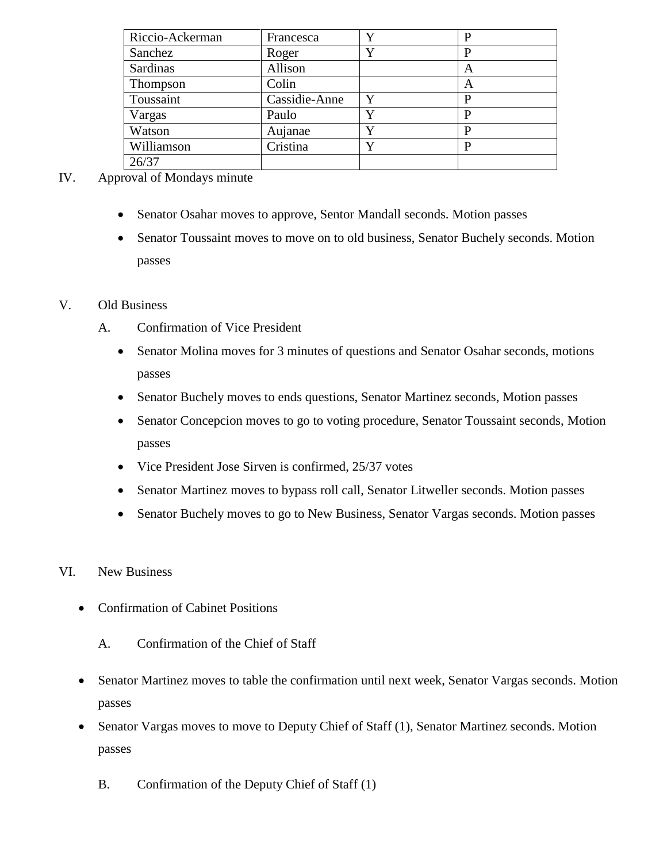| Riccio-Ackerman | Francesca     |   |   |
|-----------------|---------------|---|---|
| Sanchez         | Roger         | Y |   |
| Sardinas        | Allison       |   | A |
| <b>Thompson</b> | Colin         |   | A |
| Toussaint       | Cassidie-Anne | Y |   |
| Vargas          | Paulo         |   |   |
| Watson          | Aujanae       |   |   |
| Williamson      | Cristina      | v | D |
| 26/37           |               |   |   |

#### IV. Approval of Mondays minute

- Senator Osahar moves to approve, Sentor Mandall seconds. Motion passes
- Senator Toussaint moves to move on to old business, Senator Buchely seconds. Motion passes

#### V. Old Business

- A. Confirmation of Vice President
	- Senator Molina moves for 3 minutes of questions and Senator Osahar seconds, motions passes
	- Senator Buchely moves to ends questions, Senator Martinez seconds, Motion passes
	- Senator Concepcion moves to go to voting procedure, Senator Toussaint seconds, Motion passes
	- Vice President Jose Sirven is confirmed, 25/37 votes
	- Senator Martinez moves to bypass roll call, Senator Litweller seconds. Motion passes
	- Senator Buchely moves to go to New Business, Senator Vargas seconds. Motion passes
- VI. New Business
	- Confirmation of Cabinet Positions
		- A. Confirmation of the Chief of Staff
	- Senator Martinez moves to table the confirmation until next week, Senator Vargas seconds. Motion passes
	- Senator Vargas moves to move to Deputy Chief of Staff (1), Senator Martinez seconds. Motion passes
		- B. Confirmation of the Deputy Chief of Staff (1)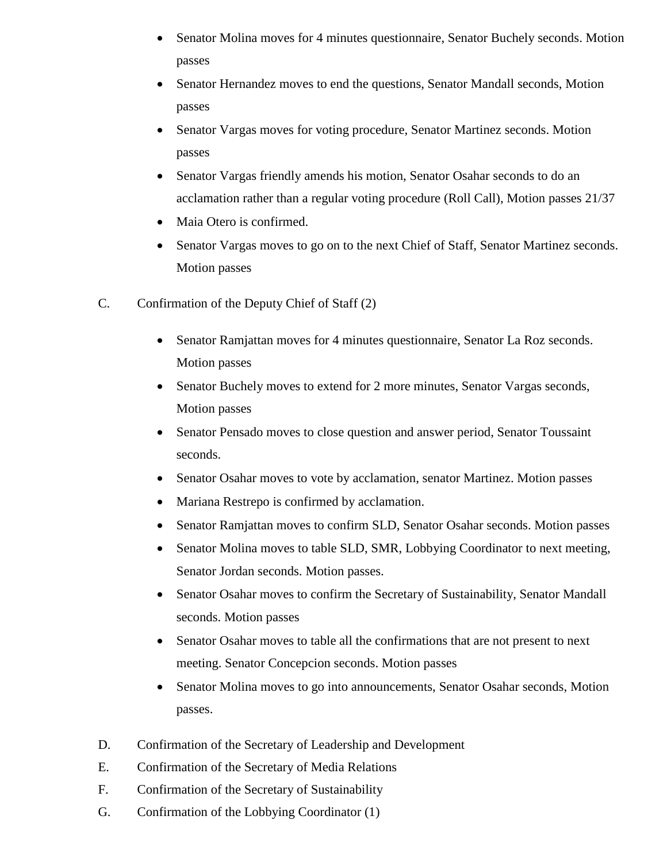- Senator Molina moves for 4 minutes questionnaire, Senator Buchely seconds. Motion passes
- Senator Hernandez moves to end the questions, Senator Mandall seconds, Motion passes
- Senator Vargas moves for voting procedure, Senator Martinez seconds. Motion passes
- Senator Vargas friendly amends his motion, Senator Osahar seconds to do an acclamation rather than a regular voting procedure (Roll Call), Motion passes 21/37
- Maia Otero is confirmed.
- Senator Vargas moves to go on to the next Chief of Staff, Senator Martinez seconds. Motion passes
- C. Confirmation of the Deputy Chief of Staff (2)
	- Senator Ramjattan moves for 4 minutes questionnaire, Senator La Roz seconds. Motion passes
	- Senator Buchely moves to extend for 2 more minutes, Senator Vargas seconds, Motion passes
	- Senator Pensado moves to close question and answer period, Senator Toussaint seconds.
	- Senator Osahar moves to vote by acclamation, senator Martinez. Motion passes
	- Mariana Restrepo is confirmed by acclamation.
	- Senator Ramjattan moves to confirm SLD, Senator Osahar seconds. Motion passes
	- Senator Molina moves to table SLD, SMR, Lobbying Coordinator to next meeting, Senator Jordan seconds. Motion passes.
	- Senator Osahar moves to confirm the Secretary of Sustainability, Senator Mandall seconds. Motion passes
	- Senator Osahar moves to table all the confirmations that are not present to next meeting. Senator Concepcion seconds. Motion passes
	- Senator Molina moves to go into announcements, Senator Osahar seconds, Motion passes.
- D. Confirmation of the Secretary of Leadership and Development
- E. Confirmation of the Secretary of Media Relations
- F. Confirmation of the Secretary of Sustainability
- G. Confirmation of the Lobbying Coordinator (1)